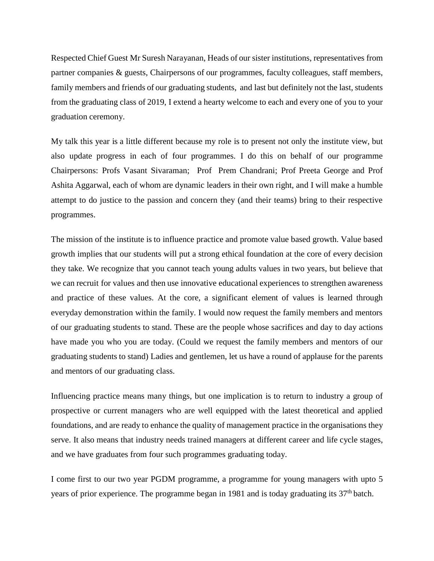Respected Chief Guest Mr Suresh Narayanan, Heads of our sister institutions, representatives from partner companies & guests, Chairpersons of our programmes, faculty colleagues, staff members, family members and friends of our graduating students, and last but definitely not the last, students from the graduating class of 2019, I extend a hearty welcome to each and every one of you to your graduation ceremony.

My talk this year is a little different because my role is to present not only the institute view, but also update progress in each of four programmes. I do this on behalf of our programme Chairpersons: Profs Vasant Sivaraman; Prof Prem Chandrani; Prof Preeta George and Prof Ashita Aggarwal, each of whom are dynamic leaders in their own right, and I will make a humble attempt to do justice to the passion and concern they (and their teams) bring to their respective programmes.

The mission of the institute is to influence practice and promote value based growth. Value based growth implies that our students will put a strong ethical foundation at the core of every decision they take. We recognize that you cannot teach young adults values in two years, but believe that we can recruit for values and then use innovative educational experiences to strengthen awareness and practice of these values. At the core, a significant element of values is learned through everyday demonstration within the family. I would now request the family members and mentors of our graduating students to stand. These are the people whose sacrifices and day to day actions have made you who you are today. (Could we request the family members and mentors of our graduating students to stand) Ladies and gentlemen, let us have a round of applause for the parents and mentors of our graduating class.

Influencing practice means many things, but one implication is to return to industry a group of prospective or current managers who are well equipped with the latest theoretical and applied foundations, and are ready to enhance the quality of management practice in the organisations they serve. It also means that industry needs trained managers at different career and life cycle stages, and we have graduates from four such programmes graduating today.

I come first to our two year PGDM programme, a programme for young managers with upto 5 years of prior experience. The programme began in 1981 and is today graduating its  $37<sup>th</sup>$  batch.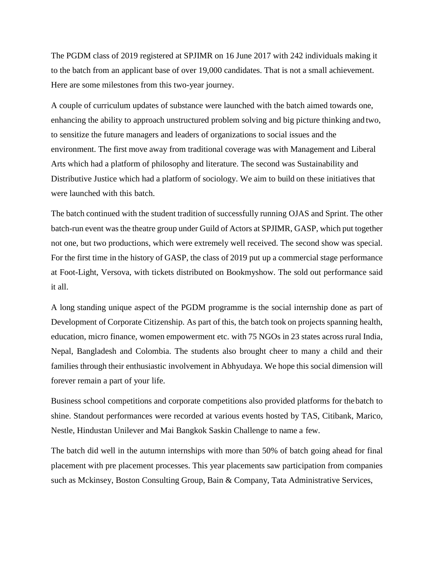The PGDM class of 2019 registered at SPJIMR on 16 June 2017 with 242 individuals making it to the batch from an applicant base of over 19,000 candidates. That is not a small achievement. Here are some milestones from this two-year journey.

A couple of curriculum updates of substance were launched with the batch aimed towards one, enhancing the ability to approach unstructured problem solving and big picture thinking and two, to sensitize the future managers and leaders of organizations to social issues and the environment. The first move away from traditional coverage was with Management and Liberal Arts which had a platform of philosophy and literature. The second was Sustainability and Distributive Justice which had a platform of sociology. We aim to build on these initiatives that were launched with this batch.

The batch continued with the student tradition of successfully running OJAS and Sprint. The other batch-run event was the theatre group under Guild of Actors at SPJIMR, GASP, which put together not one, but two productions, which were extremely well received. The second show was special. For the first time in the history of GASP, the class of 2019 put up a commercial stage performance at Foot-Light, Versova, with tickets distributed on Bookmyshow. The sold out performance said it all.

A long standing unique aspect of the PGDM programme is the social internship done as part of Development of Corporate Citizenship. As part of this, the batch took on projects spanning health, education, micro finance, women empowerment etc. with 75 NGOs in 23 states across rural India, Nepal, Bangladesh and Colombia. The students also brought cheer to many a child and their families through their enthusiastic involvement in Abhyudaya. We hope this social dimension will forever remain a part of your life.

Business school competitions and corporate competitions also provided platforms for thebatch to shine. Standout performances were recorded at various events hosted by TAS, Citibank, Marico, Nestle, Hindustan Unilever and Mai Bangkok Saskin Challenge to name a few.

The batch did well in the autumn internships with more than 50% of batch going ahead for final placement with pre placement processes. This year placements saw participation from companies such as Mckinsey, Boston Consulting Group, Bain & Company, Tata Administrative Services,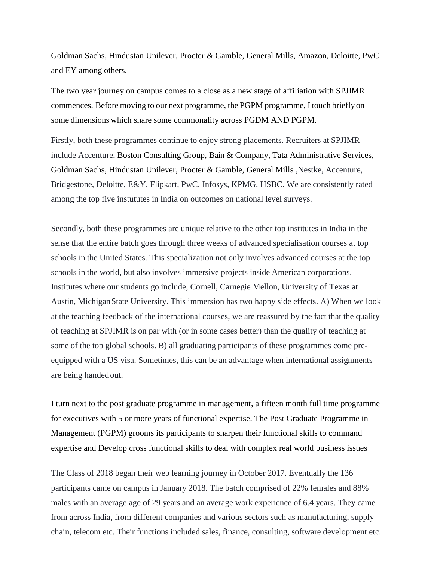Goldman Sachs, Hindustan Unilever, Procter & Gamble, General Mills, Amazon, Deloitte, PwC and EY among others.

The two year journey on campus comes to a close as a new stage of affiliation with SPJIMR commences. Before moving to our next programme, the PGPM programme, I touch briefly on some dimensions which share some commonality across PGDM AND PGPM.

Firstly, both these programmes continue to enjoy strong placements. Recruiters at SPJIMR include Accenture, Boston Consulting Group, Bain & Company, Tata Administrative Services, Goldman Sachs, Hindustan Unilever, Procter & Gamble, General Mills ,Nestke, Accenture, Bridgestone, Deloitte, E&Y, Flipkart, PwC, Infosys, KPMG, HSBC. We are consistently rated among the top five instututes in India on outcomes on national level surveys.

Secondly, both these programmes are unique relative to the other top institutes in India in the sense that the entire batch goes through three weeks of advanced specialisation courses at top schools in the United States. This specialization not only involves advanced courses at the top schools in the world, but also involves immersive projects inside American corporations. Institutes where our students go include, Cornell, Carnegie Mellon, University of Texas at Austin, MichiganState University. This immersion has two happy side effects. A) When we look at the teaching feedback of the international courses, we are reassured by the fact that the quality of teaching at SPJIMR is on par with (or in some cases better) than the quality of teaching at some of the top global schools. B) all graduating participants of these programmes come preequipped with a US visa. Sometimes, this can be an advantage when international assignments are being handed out.

I turn next to the post graduate programme in management, a fifteen month full time programme for executives with 5 or more years of functional expertise. The Post Graduate Programme in Management (PGPM) grooms its participants to sharpen their functional skills to command expertise and Develop cross functional skills to deal with complex real world business issues

The Class of 2018 began their web learning journey in October 2017. Eventually the 136 participants came on campus in January 2018. The batch comprised of 22% females and 88% males with an average age of 29 years and an average work experience of 6.4 years. They came from across India, from different companies and various sectors such as manufacturing, supply chain, telecom etc. Their functions included sales, finance, consulting, software development etc.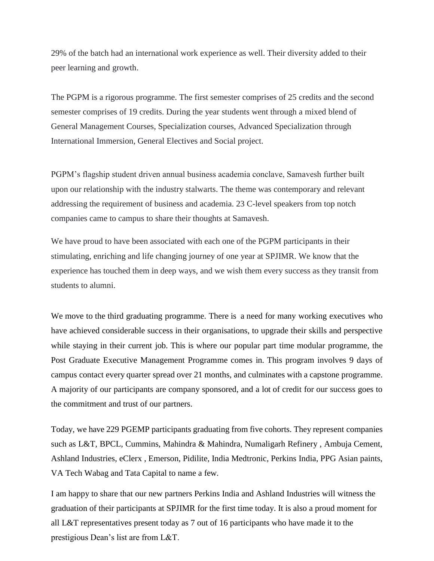29% of the batch had an international work experience as well. Their diversity added to their peer learning and growth.

The PGPM is a rigorous programme. The first semester comprises of 25 credits and the second semester comprises of 19 credits. During the year students went through a mixed blend of General Management Courses, Specialization courses, Advanced Specialization through International Immersion, General Electives and Social project.

PGPM"s flagship student driven annual business academia conclave, Samavesh further built upon our relationship with the industry stalwarts. The theme was contemporary and relevant addressing the requirement of business and academia. 23 C-level speakers from top notch companies came to campus to share their thoughts at Samavesh.

We have proud to have been associated with each one of the PGPM participants in their stimulating, enriching and life changing journey of one year at SPJIMR. We know that the experience has touched them in deep ways, and we wish them every success as they transit from students to alumni.

We move to the third graduating programme. There is a need for many working executives who have achieved considerable success in their organisations, to upgrade their skills and perspective while staying in their current job. This is where our popular part time modular programme, the Post Graduate Executive Management Programme comes in. This program involves 9 days of campus contact every quarter spread over 21 months, and culminates with a capstone programme. A majority of our participants are company sponsored, and a lot of credit for our success goes to the commitment and trust of our partners.

Today, we have 229 PGEMP participants graduating from five cohorts. They represent companies such as L&T, BPCL, Cummins, Mahindra & Mahindra, Numaligarh Refinery , Ambuja Cement, Ashland Industries, eClerx , Emerson, Pidilite, India Medtronic, Perkins India, PPG Asian paints, VA Tech Wabag and Tata Capital to name a few.

I am happy to share that our new partners Perkins India and Ashland Industries will witness the graduation of their participants at SPJIMR for the first time today. It is also a proud moment for all L&T representatives present today as 7 out of 16 participants who have made it to the prestigious Dean"s list are from L&T.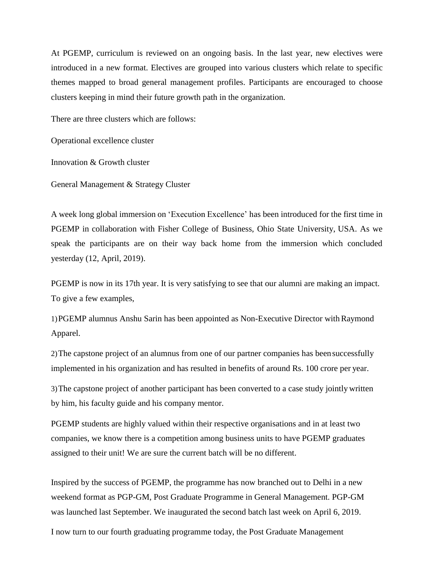At PGEMP, curriculum is reviewed on an ongoing basis. In the last year, new electives were introduced in a new format. Electives are grouped into various clusters which relate to specific themes mapped to broad general management profiles. Participants are encouraged to choose clusters keeping in mind their future growth path in the organization.

There are three clusters which are follows:

Operational excellence cluster

Innovation & Growth cluster

General Management & Strategy Cluster

A week long global immersion on "Execution Excellence" has been introduced for the first time in PGEMP in collaboration with Fisher College of Business, Ohio State University, USA. As we speak the participants are on their way back home from the immersion which concluded yesterday (12, April, 2019).

PGEMP is now in its 17th year. It is very satisfying to see that our alumni are making an impact. To give a few examples,

1)PGEMP alumnus Anshu Sarin has been appointed as Non-Executive Director withRaymond Apparel.

2)The capstone project of an alumnus from one of our partner companies has beensuccessfully implemented in his organization and has resulted in benefits of around Rs. 100 crore per year.

3)The capstone project of another participant has been converted to a case study jointly written by him, his faculty guide and his company mentor.

PGEMP students are highly valued within their respective organisations and in at least two companies, we know there is a competition among business units to have PGEMP graduates assigned to their unit! We are sure the current batch will be no different.

Inspired by the success of PGEMP, the programme has now branched out to Delhi in a new weekend format as PGP-GM, Post Graduate Programme in General Management. PGP-GM was launched last September. We inaugurated the second batch last week on April 6, 2019. I now turn to our fourth graduating programme today, the Post Graduate Management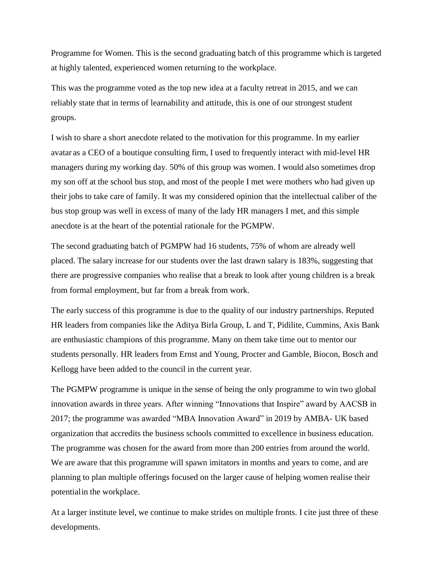Programme for Women. This is the second graduating batch of this programme which is targeted at highly talented, experienced women returning to the workplace.

This was the programme voted as the top new idea at a faculty retreat in 2015, and we can reliably state that in terms of learnability and attitude, this is one of our strongest student groups.

I wish to share a short anecdote related to the motivation for this programme. In my earlier avatar as a CEO of a boutique consulting firm, I used to frequently interact with mid-level HR managers during my working day. 50% of this group was women. I would also sometimes drop my son off at the school bus stop, and most of the people I met were mothers who had given up their jobs to take care of family. It was my considered opinion that the intellectual caliber of the bus stop group was well in excess of many of the lady HR managers I met, and this simple anecdote is at the heart of the potential rationale for the PGMPW.

The second graduating batch of PGMPW had 16 students, 75% of whom are already well placed. The salary increase for our students over the last drawn salary is 183%, suggesting that there are progressive companies who realise that a break to look after young children is a break from formal employment, but far from a break from work.

The early success of this programme is due to the quality of our industry partnerships. Reputed HR leaders from companies like the Aditya Birla Group, L and T, Pidilite, Cummins, Axis Bank are enthusiastic champions of this programme. Many on them take time out to mentor our students personally. HR leaders from Ernst and Young, Procter and Gamble, Biocon, Bosch and Kellogg have been added to the council in the current year.

The PGMPW programme is unique in the sense of being the only programme to win two global innovation awards in three years. After winning "Innovations that Inspire" award by AACSB in 2017; the programme was awarded "MBA Innovation Award" in 2019 by AMBA- UK based organization that accredits the business schools committed to excellence in business education. The programme was chosen for the award from more than 200 entries from around the world. We are aware that this programme will spawn imitators in months and years to come, and are planning to plan multiple offerings focused on the larger cause of helping women realise their potentialin the workplace.

At a larger institute level, we continue to make strides on multiple fronts. I cite just three of these developments.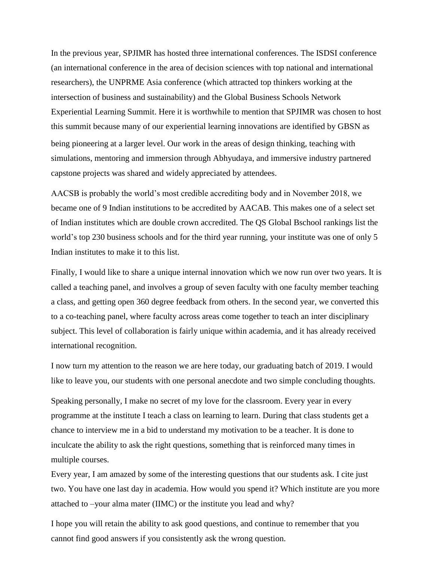In the previous year, SPJIMR has hosted three international conferences. The ISDSI conference (an international conference in the area of decision sciences with top national and international researchers), the UNPRME Asia conference (which attracted top thinkers working at the intersection of business and sustainability) and the Global Business Schools Network Experiential Learning Summit. Here it is worthwhile to mention that SPJIMR was chosen to host this summit because many of our experiential learning innovations are identified by GBSN as being pioneering at a larger level. Our work in the areas of design thinking, teaching with simulations, mentoring and immersion through Abhyudaya, and immersive industry partnered capstone projects was shared and widely appreciated by attendees.

AACSB is probably the world"s most credible accrediting body and in November 2018, we became one of 9 Indian institutions to be accredited by AACAB. This makes one of a select set of Indian institutes which are double crown accredited. The QS Global Bschool rankings list the world"s top 230 business schools and for the third year running, your institute was one of only 5 Indian institutes to make it to this list.

Finally, I would like to share a unique internal innovation which we now run over two years. It is called a teaching panel, and involves a group of seven faculty with one faculty member teaching a class, and getting open 360 degree feedback from others. In the second year, we converted this to a co-teaching panel, where faculty across areas come together to teach an inter disciplinary subject. This level of collaboration is fairly unique within academia, and it has already received international recognition.

I now turn my attention to the reason we are here today, our graduating batch of 2019. I would like to leave you, our students with one personal anecdote and two simple concluding thoughts.

Speaking personally, I make no secret of my love for the classroom. Every year in every programme at the institute I teach a class on learning to learn. During that class students get a chance to interview me in a bid to understand my motivation to be a teacher. It is done to inculcate the ability to ask the right questions, something that is reinforced many times in multiple courses.

Every year, I am amazed by some of the interesting questions that our students ask. I cite just two. You have one last day in academia. How would you spend it? Which institute are you more attached to –your alma mater (IIMC) or the institute you lead and why?

I hope you will retain the ability to ask good questions, and continue to remember that you cannot find good answers if you consistently ask the wrong question.